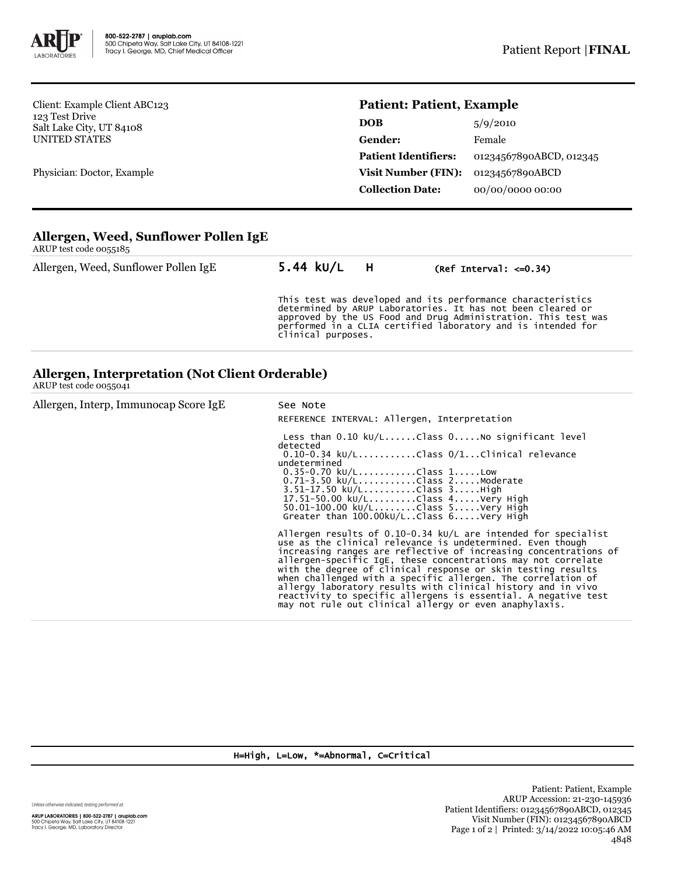

Client: Example Client ABC123 123 Test Drive Salt Lake City, UT 84108 UNITED STATES

Physician: Doctor, Example

## **Patient: Patient, Example**

| <b>DOB</b>                  | 5/9/2010                |  |
|-----------------------------|-------------------------|--|
| Gender:                     | Female                  |  |
| <b>Patient Identifiers:</b> | 01234567890ABCD, 012345 |  |
| <b>Visit Number (FIN):</b>  | 01234567890ABCD         |  |
| <b>Collection Date:</b>     | 00/00/0000 00:00        |  |

## **Allergen, Weed, Sunflower Pollen IgE**

ARUP test code 0055185

Allergen, Weed, Sunflower Pollen IgE 5.44 kU/L H (Ref Interval: <= 0.34) This test was developed and its performance characteristics determined by ARUP Laboratories. It has not been cleared or approved by the US Food and Drug Administration. This test was performed in a CLIA certified laboratory and is intended for clinical purposes.

## **Allergen, Interpretation (Not Client Orderable)**

ARUP test code 0055041

| Allergen, Interp, Immunocap Score IgE | See Note<br>REFERENCE INTERVAL: Allergen, Interpretation                                                                                                                                                                                                                                                                                                                                                                                                                                                                                                                                        |  |
|---------------------------------------|-------------------------------------------------------------------------------------------------------------------------------------------------------------------------------------------------------------------------------------------------------------------------------------------------------------------------------------------------------------------------------------------------------------------------------------------------------------------------------------------------------------------------------------------------------------------------------------------------|--|
|                                       | Less than $0.10 \; kU/L$ Class $0 \ldots$ No significant level<br>detected<br>$0.10-0.34$ ku/LClass $0/1$ Clinical relevance<br>undetermined<br>$0.35 - 0.70$ kU/LClass 1Low<br>0.71-3.50 kU/LClass 2Moderate<br>$3.51 - 17.50 \text{ kU/L}$ Class $3.$ High<br>17.51-50.00 kU/LClass 4Very High<br>50.01-100.00 ku/LClass 5Very High<br>Greater than $100.00$ kU/LClass $6. \ldots$ .Very High                                                                                                                                                                                                 |  |
|                                       | Allergen results of $0.10-0.34$ kU/L are intended for specialist<br>use as the clinical relevance is undetermined. Even though<br>increasing ranges are reflective of increasing concentrations of<br>allergen-specific IgE, these concentrations may not correlate<br>with the degree of clinical response or skin testing results<br>when challenged with a specific allergen. The correlation of<br>allergy laboratory results with clinical history and in vivo<br>reactivity to specific allergens is essential. A negative test<br>may not rule out clinical allergy or even anaphylaxis. |  |

H=High, L=Low, \*=Abnormal, C=Critical

Unless otherwise indicated, testing performed at: